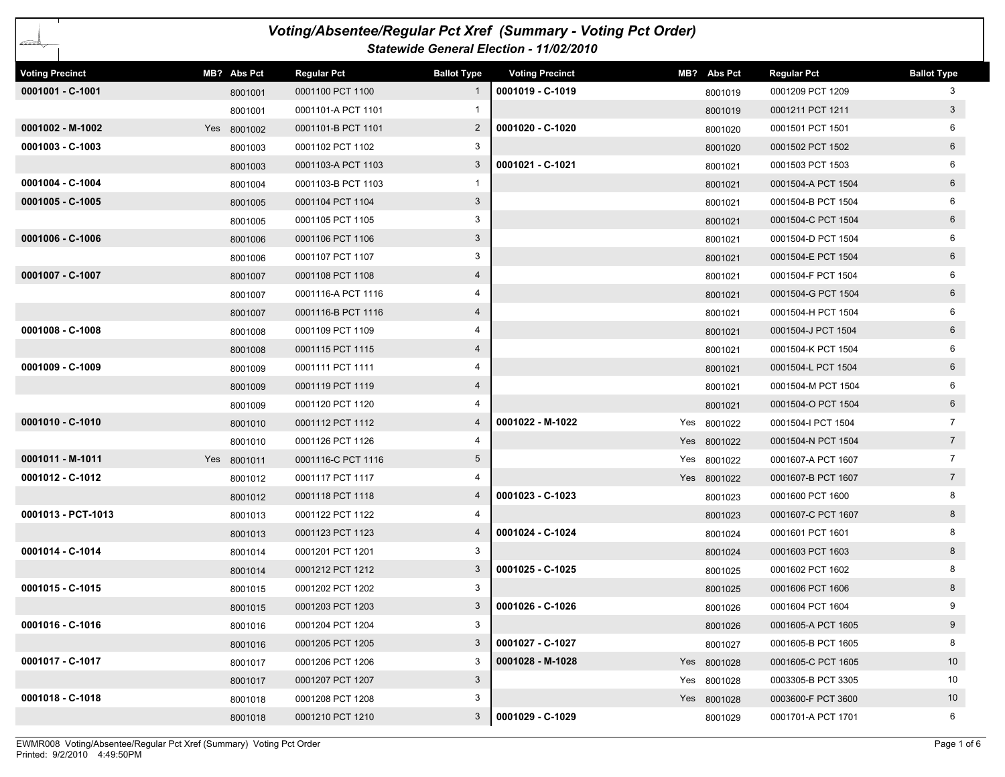| Voting/Absentee/Regular Pct Xref (Summary - Voting Pct Order)<br>Statewide General Election - 11/02/2010 |  |             |                    |                    |                        |  |             |                    |                    |  |
|----------------------------------------------------------------------------------------------------------|--|-------------|--------------------|--------------------|------------------------|--|-------------|--------------------|--------------------|--|
| <b>Voting Precinct</b>                                                                                   |  | MB? Abs Pct | <b>Regular Pct</b> | <b>Ballot Type</b> | <b>Voting Precinct</b> |  | MB? Abs Pct | <b>Regular Pct</b> | <b>Ballot Type</b> |  |
| 0001001 - C-1001                                                                                         |  | 8001001     | 0001100 PCT 1100   | 1                  | 0001019 - C-1019       |  | 8001019     | 0001209 PCT 1209   | 3                  |  |
|                                                                                                          |  | 8001001     | 0001101-A PCT 1101 | 1                  |                        |  | 8001019     | 0001211 PCT 1211   | 3 <sup>1</sup>     |  |
| $0001002 - M-1002$                                                                                       |  | Yes 8001002 | 0001101-B PCT 1101 | $\overline{2}$     | 0001020 - C-1020       |  | 8001020     | 0001501 PCT 1501   | 6                  |  |
| $0001003 - C-1003$                                                                                       |  | 8001003     | 0001102 PCT 1102   | 3                  |                        |  | 8001020     | 0001502 PCT 1502   | 6                  |  |
|                                                                                                          |  | 8001003     | 0001103-A PCT 1103 | 3                  | 0001021 - C-1021       |  | 8001021     | 0001503 PCT 1503   |                    |  |
| 0001004 - C-1004                                                                                         |  | 8001004     | 0001103-B PCT 1103 | 1                  |                        |  | 8001021     | 0001504-A PCT 1504 | 6                  |  |
| 0001005 - C-1005                                                                                         |  | 8001005     | 0001104 PCT 1104   | 3                  |                        |  | 8001021     | 0001504-B PCT 1504 | 6                  |  |
|                                                                                                          |  | 8001005     | 0001105 PCT 1105   | 3                  |                        |  | 8001021     | 0001504-C PCT 1504 | $6\overline{6}$    |  |
| 0001006 - C-1006                                                                                         |  | 8001006     | 0001106 PCT 1106   | 3                  |                        |  | 8001021     | 0001504-D PCT 1504 | 6                  |  |
|                                                                                                          |  | 8001006     | 0001107 PCT 1107   | 3                  |                        |  | 8001021     | 0001504-E PCT 1504 | 6                  |  |
| 0001007 - C-1007                                                                                         |  | 8001007     | 0001108 PCT 1108   | 4                  |                        |  | 8001021     | 0001504-F PCT 1504 | 6                  |  |
|                                                                                                          |  | 8001007     | 0001116-A PCT 1116 | 4                  |                        |  | 8001021     | 0001504-G PCT 1504 | 6                  |  |
|                                                                                                          |  | 8001007     | 0001116-B PCT 1116 | 4                  |                        |  | 8001021     | 0001504-H PCT 1504 | 6                  |  |
| 0001008 - C-1008                                                                                         |  | 8001008     | 0001109 PCT 1109   | 4                  |                        |  | 8001021     | 0001504-J PCT 1504 | 6                  |  |
|                                                                                                          |  | 8001008     | 0001115 PCT 1115   | 4                  |                        |  | 8001021     | 0001504-K PCT 1504 | 6                  |  |
| 0001009 - C-1009                                                                                         |  | 8001009     | 0001111 PCT 1111   | 4                  |                        |  | 8001021     | 0001504-L PCT 1504 | 6                  |  |
|                                                                                                          |  | 8001009     | 0001119 PCT 1119   | 4                  |                        |  | 8001021     | 0001504-M PCT 1504 | 6                  |  |
|                                                                                                          |  | 8001009     | 0001120 PCT 1120   | 4                  |                        |  | 8001021     | 0001504-O PCT 1504 | $6\overline{6}$    |  |
| 0001010 - C-1010                                                                                         |  | 8001010     | 0001112 PCT 1112   | 4                  | 0001022 - M-1022       |  | Yes 8001022 | 0001504-I PCT 1504 | $\overline{7}$     |  |
|                                                                                                          |  | 8001010     | 0001126 PCT 1126   | 4                  |                        |  | Yes 8001022 | 0001504-N PCT 1504 | $7\overline{ }$    |  |
| 0001011 - M-1011                                                                                         |  | Yes 8001011 | 0001116-C PCT 1116 | 5                  |                        |  | Yes 8001022 | 0001607-A PCT 1607 | $\overline{7}$     |  |
| 0001012 - C-1012                                                                                         |  | 8001012     | 0001117 PCT 1117   |                    |                        |  | Yes 8001022 | 0001607-B PCT 1607 | $7\overline{ }$    |  |
|                                                                                                          |  | 8001012     | 0001118 PCT 1118   | 4                  | 0001023 - C-1023       |  | 8001023     | 0001600 PCT 1600   | 8                  |  |
| 0001013 - PCT-1013                                                                                       |  | 8001013     | 0001122 PCT 1122   | 4                  |                        |  | 8001023     | 0001607-C PCT 1607 | 8                  |  |
|                                                                                                          |  | 8001013     | 0001123 PCT 1123   | 4                  | 0001024 - C-1024       |  | 8001024     | 0001601 PCT 1601   |                    |  |
| 0001014 - C-1014                                                                                         |  | 8001014     | 0001201 PCT 1201   | 3                  |                        |  | 8001024     | 0001603 PCT 1603   | 8                  |  |
|                                                                                                          |  | 8001014     | 0001212 PCT 1212   | 3                  | 0001025 - C-1025       |  | 8001025     | 0001602 PCT 1602   | 8                  |  |
| 0001015 - C-1015                                                                                         |  | 8001015     | 0001202 PCT 1202   | 3                  |                        |  | 8001025     | 0001606 PCT 1606   | 8                  |  |
|                                                                                                          |  | 8001015     | 0001203 PCT 1203   | 3                  | 0001026 - C-1026       |  | 8001026     | 0001604 PCT 1604   | 9                  |  |
| 0001016 - C-1016                                                                                         |  | 8001016     | 0001204 PCT 1204   | 3                  |                        |  | 8001026     | 0001605-A PCT 1605 | 9                  |  |
|                                                                                                          |  | 8001016     | 0001205 PCT 1205   | 3                  | 0001027 - C-1027       |  | 8001027     | 0001605-B PCT 1605 | 8                  |  |
| 0001017 - C-1017                                                                                         |  | 8001017     | 0001206 PCT 1206   | 3                  | 0001028 - M-1028       |  | Yes 8001028 | 0001605-C PCT 1605 | 10 <sup>°</sup>    |  |
|                                                                                                          |  | 8001017     | 0001207 PCT 1207   | 3                  |                        |  | Yes 8001028 | 0003305-B PCT 3305 | 10                 |  |
| 0001018 - C-1018                                                                                         |  | 8001018     | 0001208 PCT 1208   | 3                  |                        |  | Yes 8001028 | 0003600-F PCT 3600 | 10 <sup>°</sup>    |  |
|                                                                                                          |  | 8001018     | 0001210 PCT 1210   | 3                  | 0001029 - C-1029       |  | 8001029     | 0001701-A PCT 1701 | 6                  |  |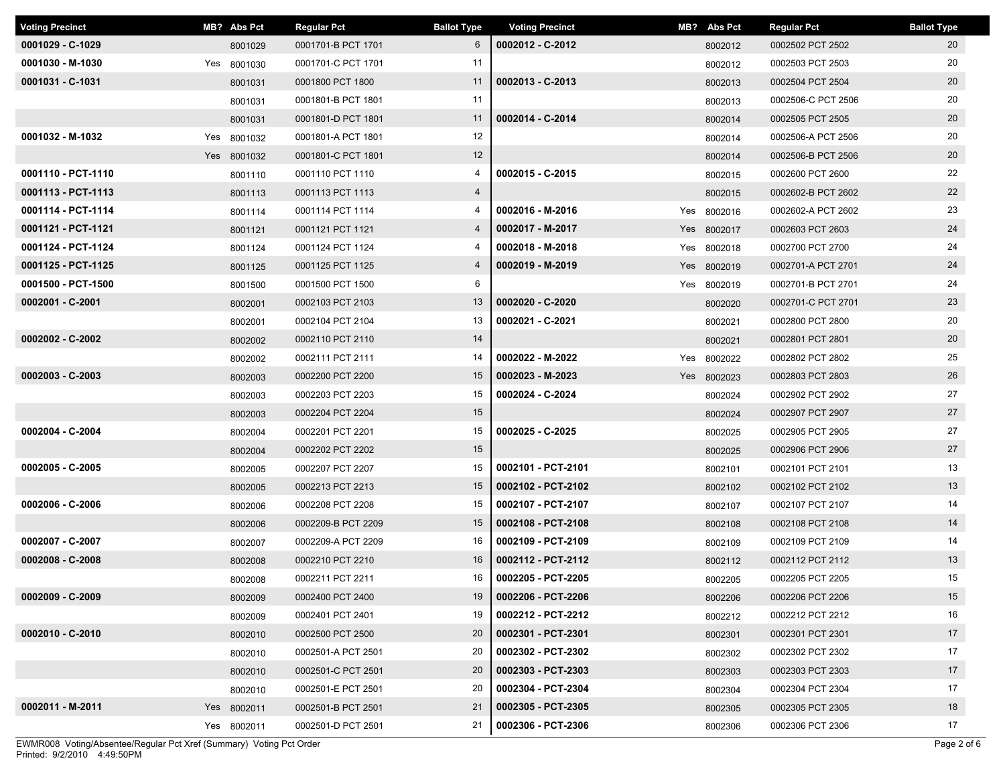| <b>Voting Precinct</b> | MB? Abs Pct | <b>Regular Pct</b> | <b>Ballot Type</b> | <b>Voting Precinct</b> | MB? Abs Pct | <b>Regular Pct</b> | <b>Ballot Type</b> |
|------------------------|-------------|--------------------|--------------------|------------------------|-------------|--------------------|--------------------|
| 0001029 - C-1029       | 8001029     | 0001701-B PCT 1701 | 6                  | 0002012 - C-2012       | 8002012     | 0002502 PCT 2502   | 20                 |
| 0001030 - M-1030       | Yes 8001030 | 0001701-C PCT 1701 | 11                 |                        | 8002012     | 0002503 PCT 2503   | 20                 |
| 0001031 - C-1031       | 8001031     | 0001800 PCT 1800   | 11                 | 0002013 - C-2013       | 8002013     | 0002504 PCT 2504   | 20                 |
|                        | 8001031     | 0001801-B PCT 1801 | 11                 |                        | 8002013     | 0002506-C PCT 2506 | 20                 |
|                        | 8001031     | 0001801-D PCT 1801 | 11                 | 0002014 - C-2014       | 8002014     | 0002505 PCT 2505   | 20                 |
| 0001032 - M-1032       | Yes 8001032 | 0001801-A PCT 1801 | 12                 |                        | 8002014     | 0002506-A PCT 2506 | 20                 |
|                        | Yes 8001032 | 0001801-C PCT 1801 | 12                 |                        | 8002014     | 0002506-B PCT 2506 | 20                 |
| 0001110 - PCT-1110     | 8001110     | 0001110 PCT 1110   | 4                  | 0002015 - C-2015       | 8002015     | 0002600 PCT 2600   | 22                 |
| 0001113 - PCT-1113     | 8001113     | 0001113 PCT 1113   | $\overline{4}$     |                        | 8002015     | 0002602-B PCT 2602 | 22                 |
| 0001114 - PCT-1114     | 8001114     | 0001114 PCT 1114   | 4                  | 0002016 - M-2016       | Yes 8002016 | 0002602-A PCT 2602 | 23                 |
| 0001121 - PCT-1121     | 8001121     | 0001121 PCT 1121   | $\overline{4}$     | 0002017 - M-2017       | Yes 8002017 | 0002603 PCT 2603   | 24                 |
| 0001124 - PCT-1124     | 8001124     | 0001124 PCT 1124   | 4                  | 0002018 - M-2018       | Yes 8002018 | 0002700 PCT 2700   | 24                 |
| 0001125 - PCT-1125     | 8001125     | 0001125 PCT 1125   | 4                  | 0002019 - M-2019       | Yes 8002019 | 0002701-A PCT 2701 | 24                 |
| 0001500 - PCT-1500     | 8001500     | 0001500 PCT 1500   | 6                  |                        | Yes 8002019 | 0002701-B PCT 2701 | 24                 |
| 0002001 - C-2001       | 8002001     | 0002103 PCT 2103   | 13                 | 0002020 - C-2020       | 8002020     | 0002701-C PCT 2701 | 23                 |
|                        | 8002001     | 0002104 PCT 2104   | 13                 | 0002021 - C-2021       | 8002021     | 0002800 PCT 2800   | 20                 |
| 0002002 - C-2002       | 8002002     | 0002110 PCT 2110   | 14                 |                        | 8002021     | 0002801 PCT 2801   | 20                 |
|                        | 8002002     | 0002111 PCT 2111   | 14                 | 0002022 - M-2022       | Yes 8002022 | 0002802 PCT 2802   | 25                 |
| 0002003 - C-2003       | 8002003     | 0002200 PCT 2200   | 15                 | 0002023 - M-2023       | Yes 8002023 | 0002803 PCT 2803   | 26                 |
|                        | 8002003     | 0002203 PCT 2203   | 15                 | 0002024 - C-2024       | 8002024     | 0002902 PCT 2902   | 27                 |
|                        | 8002003     | 0002204 PCT 2204   | 15                 |                        | 8002024     | 0002907 PCT 2907   | 27                 |
| 0002004 - C-2004       | 8002004     | 0002201 PCT 2201   | 15                 | 0002025 - C-2025       | 8002025     | 0002905 PCT 2905   | 27                 |
|                        | 8002004     | 0002202 PCT 2202   | 15                 |                        | 8002025     | 0002906 PCT 2906   | 27                 |
| 0002005 - C-2005       | 8002005     | 0002207 PCT 2207   | 15                 | 0002101 - PCT-2101     | 8002101     | 0002101 PCT 2101   | 13                 |
|                        | 8002005     | 0002213 PCT 2213   | 15                 | 0002102 - PCT-2102     | 8002102     | 0002102 PCT 2102   | 13                 |
| 0002006 - C-2006       | 8002006     | 0002208 PCT 2208   | 15                 | 0002107 - PCT-2107     | 8002107     | 0002107 PCT 2107   | 14                 |
|                        | 8002006     | 0002209-B PCT 2209 | 15                 | 0002108 - PCT-2108     | 8002108     | 0002108 PCT 2108   | 14                 |
| 0002007 - C-2007       | 8002007     | 0002209-A PCT 2209 | 16                 | 0002109 - PCT-2109     | 8002109     | 0002109 PCT 2109   | 14                 |
| 0002008 - C-2008       | 8002008     | 0002210 PCT 2210   | 16                 | 0002112 - PCT-2112     | 8002112     | 0002112 PCT 2112   | 13                 |
|                        | 8002008     | 0002211 PCT 2211   | 16                 | 0002205 - PCT-2205     | 8002205     | 0002205 PCT 2205   | 15                 |
| $0002009 - C - 2009$   | 8002009     | 0002400 PCT 2400   | 19                 | 0002206 - PCT-2206     | 8002206     | 0002206 PCT 2206   | 15                 |
|                        | 8002009     | 0002401 PCT 2401   | 19                 | 0002212 - PCT-2212     | 8002212     | 0002212 PCT 2212   | 16                 |
| 0002010 - C-2010       | 8002010     | 0002500 PCT 2500   | 20                 | 0002301 - PCT-2301     | 8002301     | 0002301 PCT 2301   | 17                 |
|                        | 8002010     | 0002501-A PCT 2501 | 20                 | 0002302 - PCT-2302     | 8002302     | 0002302 PCT 2302   | 17                 |
|                        | 8002010     | 0002501-C PCT 2501 | 20                 | 0002303 - PCT-2303     | 8002303     | 0002303 PCT 2303   | 17                 |
|                        | 8002010     | 0002501-E PCT 2501 | 20                 | 0002304 - PCT-2304     | 8002304     | 0002304 PCT 2304   | 17                 |
| 0002011 - M-2011       | Yes 8002011 | 0002501-B PCT 2501 | 21                 | 0002305 - PCT-2305     | 8002305     | 0002305 PCT 2305   | 18                 |
|                        | Yes 8002011 | 0002501-D PCT 2501 | 21                 | 0002306 - PCT-2306     | 8002306     | 0002306 PCT 2306   | 17                 |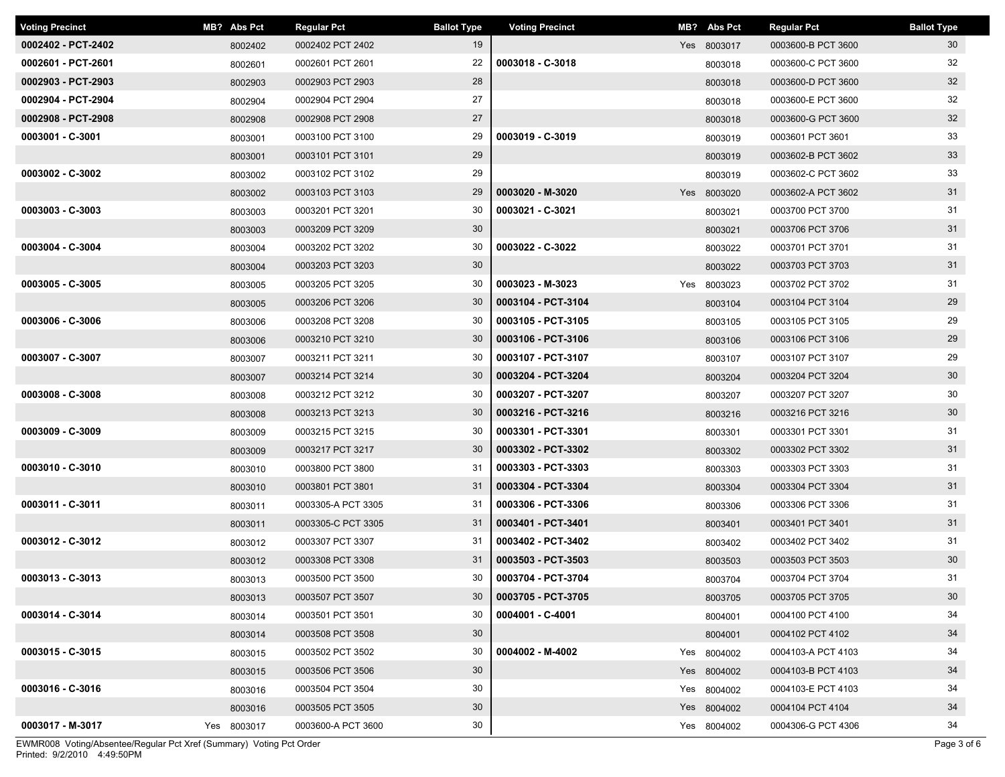| <b>Voting Precinct</b> | MB? Abs Pct | <b>Regular Pct</b> | <b>Ballot Type</b> | <b>Voting Precinct</b> | MB? Abs Pct | <b>Regular Pct</b> | <b>Ballot Type</b> |
|------------------------|-------------|--------------------|--------------------|------------------------|-------------|--------------------|--------------------|
| 0002402 - PCT-2402     | 8002402     | 0002402 PCT 2402   | 19                 |                        | Yes 8003017 | 0003600-B PCT 3600 | 30                 |
| 0002601 - PCT-2601     | 8002601     | 0002601 PCT 2601   | 22                 | 0003018 - C-3018       | 8003018     | 0003600-C PCT 3600 | 32                 |
| 0002903 - PCT-2903     | 8002903     | 0002903 PCT 2903   | 28                 |                        | 8003018     | 0003600-D PCT 3600 | 32                 |
| 0002904 - PCT-2904     | 8002904     | 0002904 PCT 2904   | 27                 |                        | 8003018     | 0003600-E PCT 3600 | 32                 |
| 0002908 - PCT-2908     | 8002908     | 0002908 PCT 2908   | 27                 |                        | 8003018     | 0003600-G PCT 3600 | 32                 |
| 0003001 - C-3001       | 8003001     | 0003100 PCT 3100   | 29                 | 0003019 - C-3019       | 8003019     | 0003601 PCT 3601   | 33                 |
|                        | 8003001     | 0003101 PCT 3101   | 29                 |                        | 8003019     | 0003602-B PCT 3602 | 33                 |
| 0003002 - C-3002       | 8003002     | 0003102 PCT 3102   | 29                 |                        | 8003019     | 0003602-C PCT 3602 | 33                 |
|                        | 8003002     | 0003103 PCT 3103   | 29                 | 0003020 - M-3020       | Yes 8003020 | 0003602-A PCT 3602 | 31                 |
| 0003003 - C-3003       | 8003003     | 0003201 PCT 3201   | 30                 | 0003021 - C-3021       | 8003021     | 0003700 PCT 3700   | 31                 |
|                        | 8003003     | 0003209 PCT 3209   | 30                 |                        | 8003021     | 0003706 PCT 3706   | 31                 |
| 0003004 - C-3004       | 8003004     | 0003202 PCT 3202   | 30                 | 0003022 - C-3022       | 8003022     | 0003701 PCT 3701   | 31                 |
|                        | 8003004     | 0003203 PCT 3203   | 30                 |                        | 8003022     | 0003703 PCT 3703   | 31                 |
| 0003005 - C-3005       | 8003005     | 0003205 PCT 3205   | 30                 | 0003023 - M-3023       | Yes 8003023 | 0003702 PCT 3702   | 31                 |
|                        | 8003005     | 0003206 PCT 3206   | 30                 | 0003104 - PCT-3104     | 8003104     | 0003104 PCT 3104   | 29                 |
| 0003006 - C-3006       | 8003006     | 0003208 PCT 3208   | 30                 | 0003105 - PCT-3105     | 8003105     | 0003105 PCT 3105   | 29                 |
|                        | 8003006     | 0003210 PCT 3210   | 30                 | 0003106 - PCT-3106     | 8003106     | 0003106 PCT 3106   | 29                 |
| 0003007 - C-3007       | 8003007     | 0003211 PCT 3211   | 30                 | 0003107 - PCT-3107     | 8003107     | 0003107 PCT 3107   | 29                 |
|                        | 8003007     | 0003214 PCT 3214   | 30                 | 0003204 - PCT-3204     | 8003204     | 0003204 PCT 3204   | 30                 |
| 0003008 - C-3008       | 8003008     | 0003212 PCT 3212   | 30                 | 0003207 - PCT-3207     | 8003207     | 0003207 PCT 3207   | 30                 |
|                        | 8003008     | 0003213 PCT 3213   | 30                 | 0003216 - PCT-3216     | 8003216     | 0003216 PCT 3216   | 30 <sup>°</sup>    |
| 0003009 - C-3009       | 8003009     | 0003215 PCT 3215   | 30                 | 0003301 - PCT-3301     | 8003301     | 0003301 PCT 3301   | 31                 |
|                        | 8003009     | 0003217 PCT 3217   | 30                 | 0003302 - PCT-3302     | 8003302     | 0003302 PCT 3302   | 31                 |
| 0003010 - C-3010       | 8003010     | 0003800 PCT 3800   | 31                 | 0003303 - PCT-3303     | 8003303     | 0003303 PCT 3303   | 31                 |
|                        | 8003010     | 0003801 PCT 3801   | 31                 | 0003304 - PCT-3304     | 8003304     | 0003304 PCT 3304   | 31                 |
| 0003011 - C-3011       | 8003011     | 0003305-A PCT 3305 | 31                 | 0003306 - PCT-3306     | 8003306     | 0003306 PCT 3306   | 31                 |
|                        | 8003011     | 0003305-C PCT 3305 | 31                 | 0003401 - PCT-3401     | 8003401     | 0003401 PCT 3401   | 31                 |
| 0003012 - C-3012       | 8003012     | 0003307 PCT 3307   | 31                 | 0003402 - PCT-3402     | 8003402     | 0003402 PCT 3402   | 31                 |
|                        | 8003012     | 0003308 PCT 3308   | 31                 | 0003503 - PCT-3503     | 8003503     | 0003503 PCT 3503   | 30 <sup>°</sup>    |
| 0003013 - C-3013       | 8003013     | 0003500 PCT 3500   | 30                 | 0003704 - PCT-3704     | 8003704     | 0003704 PCT 3704   | 31                 |
|                        | 8003013     | 0003507 PCT 3507   | 30                 | 0003705 - PCT-3705     | 8003705     | 0003705 PCT 3705   | 30                 |
| 0003014 - C-3014       | 8003014     | 0003501 PCT 3501   | 30                 | 0004001 - C-4001       | 8004001     | 0004100 PCT 4100   | 34                 |
|                        | 8003014     | 0003508 PCT 3508   | 30                 |                        | 8004001     | 0004102 PCT 4102   | 34                 |
| 0003015 - C-3015       | 8003015     | 0003502 PCT 3502   | 30                 | 0004002 - M-4002       | Yes 8004002 | 0004103-A PCT 4103 | 34                 |
|                        | 8003015     | 0003506 PCT 3506   | 30                 |                        | Yes 8004002 | 0004103-B PCT 4103 | 34                 |
| 0003016 - C-3016       | 8003016     | 0003504 PCT 3504   | 30                 |                        | Yes 8004002 | 0004103-E PCT 4103 | 34                 |
|                        | 8003016     | 0003505 PCT 3505   | 30                 |                        | Yes 8004002 | 0004104 PCT 4104   | 34                 |
| 0003017 - M-3017       | Yes 8003017 | 0003600-A PCT 3600 | 30                 |                        | Yes 8004002 | 0004306-G PCT 4306 | 34                 |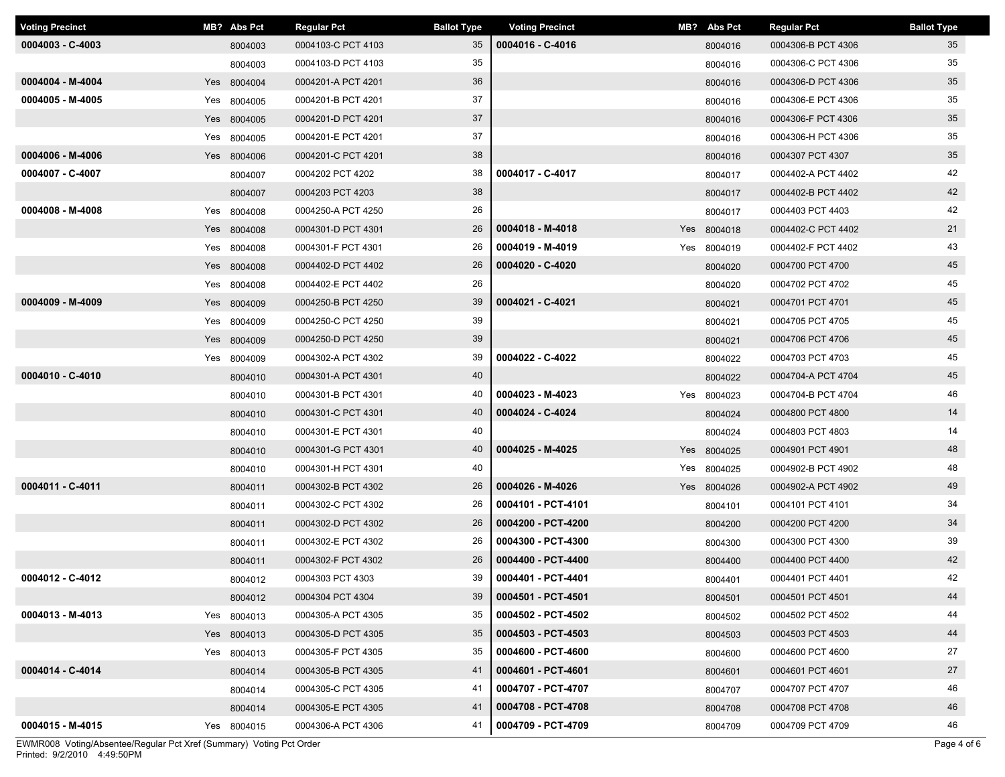| <b>Voting Precinct</b> | MB? Abs Pct | <b>Regular Pct</b> | <b>Ballot Type</b> | <b>Voting Precinct</b> | MB? Abs Pct | <b>Regular Pct</b> | <b>Ballot Type</b> |
|------------------------|-------------|--------------------|--------------------|------------------------|-------------|--------------------|--------------------|
| $0004003 - C - 4003$   | 8004003     | 0004103-C PCT 4103 | 35                 | 0004016 - C-4016       | 8004016     | 0004306-B PCT 4306 | 35                 |
|                        | 8004003     | 0004103-D PCT 4103 | 35                 |                        | 8004016     | 0004306-C PCT 4306 | 35                 |
| 0004004 - M-4004       | Yes 8004004 | 0004201-A PCT 4201 | 36                 |                        | 8004016     | 0004306-D PCT 4306 | 35                 |
| 0004005 - M-4005       | Yes 8004005 | 0004201-B PCT 4201 | 37                 |                        | 8004016     | 0004306-E PCT 4306 | 35                 |
|                        | Yes 8004005 | 0004201-D PCT 4201 | 37                 |                        | 8004016     | 0004306-F PCT 4306 | 35                 |
|                        | Yes 8004005 | 0004201-E PCT 4201 | 37                 |                        | 8004016     | 0004306-H PCT 4306 | 35                 |
| 0004006 - M-4006       | Yes 8004006 | 0004201-C PCT 4201 | 38                 |                        | 8004016     | 0004307 PCT 4307   | 35                 |
| 0004007 - C-4007       | 8004007     | 0004202 PCT 4202   | 38                 | 0004017 - C-4017       | 8004017     | 0004402-A PCT 4402 | 42                 |
|                        | 8004007     | 0004203 PCT 4203   | 38                 |                        | 8004017     | 0004402-B PCT 4402 | 42                 |
| 0004008 - M-4008       | Yes 8004008 | 0004250-A PCT 4250 | 26                 |                        | 8004017     | 0004403 PCT 4403   | 42                 |
|                        | Yes 8004008 | 0004301-D PCT 4301 | 26                 | 0004018 - M-4018       | Yes 8004018 | 0004402-C PCT 4402 | 21                 |
|                        | Yes 8004008 | 0004301-F PCT 4301 | 26                 | 0004019 - M-4019       | Yes 8004019 | 0004402-F PCT 4402 | 43                 |
|                        | Yes 8004008 | 0004402-D PCT 4402 | 26                 | 0004020 - C-4020       | 8004020     | 0004700 PCT 4700   | 45                 |
|                        | Yes 8004008 | 0004402-E PCT 4402 | 26                 |                        | 8004020     | 0004702 PCT 4702   | 45                 |
| 0004009 - M-4009       | Yes 8004009 | 0004250-B PCT 4250 | 39                 | 0004021 - C-4021       | 8004021     | 0004701 PCT 4701   | 45                 |
|                        | Yes 8004009 | 0004250-C PCT 4250 | 39                 |                        | 8004021     | 0004705 PCT 4705   | 45                 |
|                        | Yes 8004009 | 0004250-D PCT 4250 | 39                 |                        | 8004021     | 0004706 PCT 4706   | 45                 |
|                        | Yes 8004009 | 0004302-A PCT 4302 | 39                 | 0004022 - C-4022       | 8004022     | 0004703 PCT 4703   | 45                 |
| 0004010 - C-4010       | 8004010     | 0004301-A PCT 4301 | 40                 |                        | 8004022     | 0004704-A PCT 4704 | 45                 |
|                        | 8004010     | 0004301-B PCT 4301 | 40                 | 0004023 - M-4023       | Yes 8004023 | 0004704-B PCT 4704 | 46                 |
|                        | 8004010     | 0004301-C PCT 4301 | 40                 | 0004024 - C-4024       | 8004024     | 0004800 PCT 4800   | 14                 |
|                        | 8004010     | 0004301-E PCT 4301 | 40                 |                        | 8004024     | 0004803 PCT 4803   | 14                 |
|                        | 8004010     | 0004301-G PCT 4301 | 40                 | 0004025 - M-4025       | Yes 8004025 | 0004901 PCT 4901   | 48                 |
|                        | 8004010     | 0004301-H PCT 4301 | 40                 |                        | Yes 8004025 | 0004902-B PCT 4902 | 48                 |
| 0004011 - C-4011       | 8004011     | 0004302-B PCT 4302 | 26                 | 0004026 - M-4026       | Yes 8004026 | 0004902-A PCT 4902 | 49                 |
|                        | 8004011     | 0004302-C PCT 4302 | 26                 | 0004101 - PCT-4101     | 8004101     | 0004101 PCT 4101   | 34                 |
|                        | 8004011     | 0004302-D PCT 4302 | 26                 | 0004200 - PCT-4200     | 8004200     | 0004200 PCT 4200   | 34                 |
|                        | 8004011     | 0004302-E PCT 4302 | 26                 | 0004300 - PCT-4300     | 8004300     | 0004300 PCT 4300   | 39                 |
|                        | 8004011     | 0004302-F PCT 4302 | 26                 | 0004400 - PCT-4400     | 8004400     | 0004400 PCT 4400   | 42                 |
| 0004012 - C-4012       | 8004012     | 0004303 PCT 4303   | 39                 | 0004401 - PCT-4401     | 8004401     | 0004401 PCT 4401   | 42                 |
|                        | 8004012     | 0004304 PCT 4304   | 39                 | 0004501 - PCT-4501     | 8004501     | 0004501 PCT 4501   | 44                 |
| 0004013 - M-4013       | Yes 8004013 | 0004305-A PCT 4305 | 35                 | 0004502 - PCT-4502     | 8004502     | 0004502 PCT 4502   | 44                 |
|                        | Yes 8004013 | 0004305-D PCT 4305 | 35                 | 0004503 - PCT-4503     | 8004503     | 0004503 PCT 4503   | 44                 |
|                        | Yes 8004013 | 0004305-F PCT 4305 | 35                 | 0004600 - PCT-4600     | 8004600     | 0004600 PCT 4600   | 27                 |
| 0004014 - C-4014       | 8004014     | 0004305-B PCT 4305 | 41                 | 0004601 - PCT-4601     | 8004601     | 0004601 PCT 4601   | 27                 |
|                        | 8004014     | 0004305-C PCT 4305 | 41                 | 0004707 - PCT-4707     | 8004707     | 0004707 PCT 4707   | 46                 |
|                        | 8004014     | 0004305-E PCT 4305 | 41                 | 0004708 - PCT-4708     | 8004708     | 0004708 PCT 4708   | 46                 |
| 0004015 - M-4015       | Yes 8004015 | 0004306-A PCT 4306 | 41                 | 0004709 - PCT-4709     | 8004709     | 0004709 PCT 4709   | 46                 |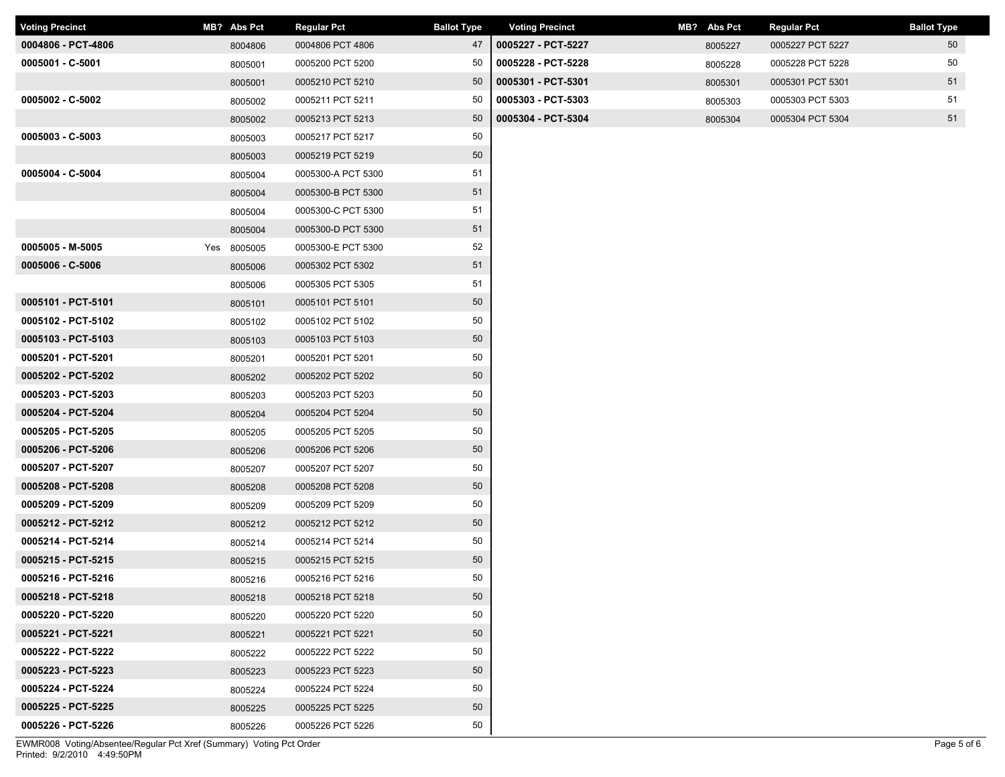| <b>Voting Precinct</b> | MB? Abs Pct | <b>Regular Pct</b> | <b>Ballot Type</b> | <b>Voting Precinct</b> | MB? Abs Pct | Regular Pct      | <b>Ballot Type</b> |
|------------------------|-------------|--------------------|--------------------|------------------------|-------------|------------------|--------------------|
| 0004806 - PCT-4806     | 8004806     | 0004806 PCT 4806   | 47                 | 0005227 - PCT-5227     | 8005227     | 0005227 PCT 5227 | 50                 |
| 0005001 - C-5001       | 8005001     | 0005200 PCT 5200   | 50                 | 0005228 - PCT-5228     | 8005228     | 0005228 PCT 5228 | 50                 |
|                        | 8005001     | 0005210 PCT 5210   | 50                 | 0005301 - PCT-5301     | 8005301     | 0005301 PCT 5301 | 51                 |
| 0005002 - C-5002       | 8005002     | 0005211 PCT 5211   | 50                 | 0005303 - PCT-5303     | 8005303     | 0005303 PCT 5303 | 51                 |
|                        | 8005002     | 0005213 PCT 5213   | 50                 | 0005304 - PCT-5304     | 8005304     | 0005304 PCT 5304 | 51                 |
| $0005003 - C - 5003$   | 8005003     | 0005217 PCT 5217   | 50                 |                        |             |                  |                    |
|                        | 8005003     | 0005219 PCT 5219   | 50                 |                        |             |                  |                    |
| 0005004 - C-5004       | 8005004     | 0005300-A PCT 5300 | 51                 |                        |             |                  |                    |
|                        | 8005004     | 0005300-B PCT 5300 | 51                 |                        |             |                  |                    |
|                        | 8005004     | 0005300-C PCT 5300 | 51                 |                        |             |                  |                    |
|                        | 8005004     | 0005300-D PCT 5300 | 51                 |                        |             |                  |                    |
| 0005005 - M-5005       | Yes 8005005 | 0005300-E PCT 5300 | 52                 |                        |             |                  |                    |
| 0005006 - C-5006       | 8005006     | 0005302 PCT 5302   | 51                 |                        |             |                  |                    |
|                        | 8005006     | 0005305 PCT 5305   | 51                 |                        |             |                  |                    |
| 0005101 - PCT-5101     | 8005101     | 0005101 PCT 5101   | 50                 |                        |             |                  |                    |
| 0005102 - PCT-5102     | 8005102     | 0005102 PCT 5102   | 50                 |                        |             |                  |                    |
| 0005103 - PCT-5103     | 8005103     | 0005103 PCT 5103   | 50                 |                        |             |                  |                    |
| 0005201 - PCT-5201     | 8005201     | 0005201 PCT 5201   | 50                 |                        |             |                  |                    |
| 0005202 - PCT-5202     | 8005202     | 0005202 PCT 5202   | 50                 |                        |             |                  |                    |
| 0005203 - PCT-5203     | 8005203     | 0005203 PCT 5203   | 50                 |                        |             |                  |                    |
| 0005204 - PCT-5204     | 8005204     | 0005204 PCT 5204   | 50                 |                        |             |                  |                    |
| 0005205 - PCT-5205     | 8005205     | 0005205 PCT 5205   | 50                 |                        |             |                  |                    |
| 0005206 - PCT-5206     | 8005206     | 0005206 PCT 5206   | 50                 |                        |             |                  |                    |
| 0005207 - PCT-5207     | 8005207     | 0005207 PCT 5207   | 50                 |                        |             |                  |                    |
| 0005208 - PCT-5208     | 8005208     | 0005208 PCT 5208   | 50                 |                        |             |                  |                    |
| 0005209 - PCT-5209     | 8005209     | 0005209 PCT 5209   | 50                 |                        |             |                  |                    |
| 0005212 - PCT-5212     | 8005212     | 0005212 PCT 5212   | 50                 |                        |             |                  |                    |
| 0005214 - PCT-5214     | 8005214     | 0005214 PCT 5214   | 50                 |                        |             |                  |                    |
| 0005215 - PCT-5215     | 8005215     | 0005215 PCT 5215   | 50                 |                        |             |                  |                    |
| 0005216 - PCT-5216     | 8005216     | 0005216 PCT 5216   | 50                 |                        |             |                  |                    |
| 0005218 - PCT-5218     | 8005218     | 0005218 PCT 5218   | 50                 |                        |             |                  |                    |
| 0005220 - PCT-5220     | 8005220     | 0005220 PCT 5220   | 50                 |                        |             |                  |                    |
| 0005221 - PCT-5221     | 8005221     | 0005221 PCT 5221   | 50                 |                        |             |                  |                    |
| 0005222 - PCT-5222     | 8005222     | 0005222 PCT 5222   | 50                 |                        |             |                  |                    |
| 0005223 - PCT-5223     | 8005223     | 0005223 PCT 5223   | 50                 |                        |             |                  |                    |
| 0005224 - PCT-5224     | 8005224     | 0005224 PCT 5224   | 50                 |                        |             |                  |                    |
| 0005225 - PCT-5225     | 8005225     | 0005225 PCT 5225   | 50                 |                        |             |                  |                    |
| 0005226 - PCT-5226     | 8005226     | 0005226 PCT 5226   | 50                 |                        |             |                  |                    |